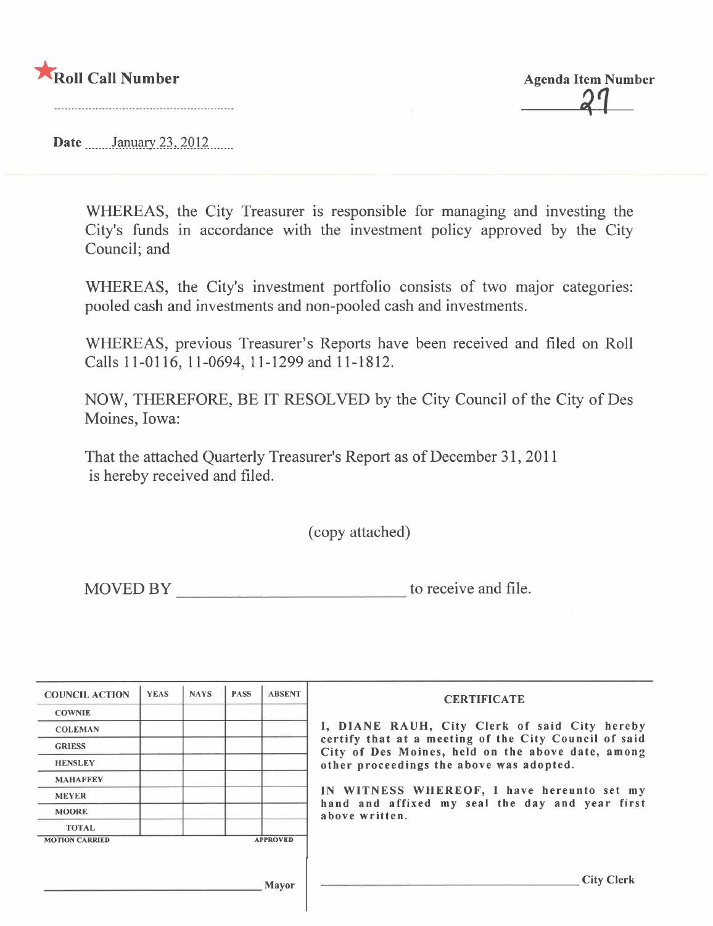

**Agenda Item Number** 

Date  $\frac{\text{January } 23, 2012}{\text{January } 23, 2012}$ 

WHREAS, the City Treasurer is responsible for managing and investing the City's funds in accordance with the investment policy approved by the City Council; and

WHEREAS, the City's investment portfolio consists of two major categories: pooled cash and investments and non-pooled cash and investments.

WHREAS, previous Treasurer's Reports have been received and filed on Roll Calls 11-0116, 11-0694, 11-1299 and 11-1812.

NOW, THEREFORE, BE IT RESOLVED by the City Council of the City of Des Moines, Iowa:

That the attached Quarterly Treasurer's Report as of December 31, 2011 is hereby received and filed.

(copy attached)

MOVED BY to receive and file.

| <b>COUNCIL ACTION</b> | <b>YEAS</b> | <b>NAYS</b> | <b>PASS</b> | <b>ABSENT</b>   | <b>CERTIFICATE</b>                                                                                         |
|-----------------------|-------------|-------------|-------------|-----------------|------------------------------------------------------------------------------------------------------------|
| <b>COWNIE</b>         |             |             |             |                 |                                                                                                            |
| <b>COLEMAN</b>        |             |             |             |                 | I, DIANE RAUH, City Clerk of said City hereby                                                              |
| <b>GRIESS</b>         |             |             |             |                 | certify that at a meeting of the City Council of said<br>City of Des Moines, held on the above date, among |
| <b>HENSLEY</b>        |             |             |             |                 | other proceedings the above was adopted.                                                                   |
| <b>MAHAFFEY</b>       |             |             |             |                 |                                                                                                            |
| <b>MEYER</b>          |             |             |             |                 | IN WITNESS WHEREOF, I have hereunto set my                                                                 |
| <b>MOORE</b>          |             |             |             |                 | hand and affixed my seal the day and year first<br>above written.                                          |
| <b>TOTAL</b>          |             |             |             |                 |                                                                                                            |
| <b>MOTION CARRIED</b> |             |             |             | <b>APPROVED</b> |                                                                                                            |
|                       |             |             |             |                 |                                                                                                            |
|                       |             |             |             |                 | City Clerk                                                                                                 |
|                       |             |             |             | <b>Mayor</b>    |                                                                                                            |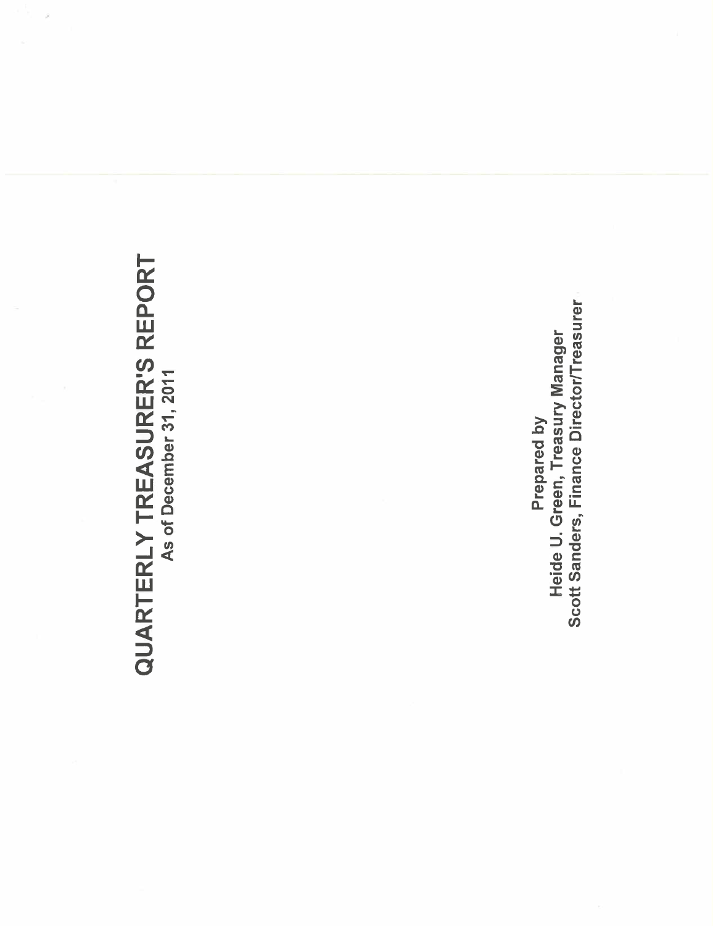# QUARTERLY TREASURER'S REPORT As of December 31, 2011

Scott Sanders, Finance Director/Treasurer Heide U. Green, Treasury Manager Prepared by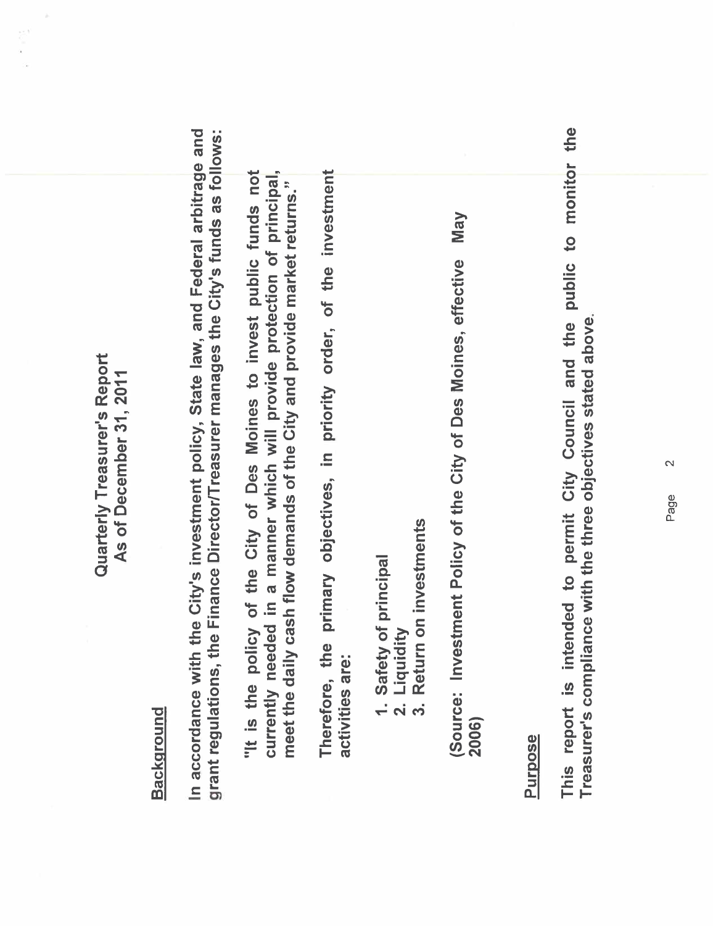Quarterly Treasurer's Report Quarterly Treasurer's Report As of December 31, 2011 As of December 31, 2011

# **Background**

In accordance with the City's investment policy, State law, and Federal arbitrage and grant regulations, the Finance Director/Treasurer manages the City's funds as follows: In accordance with the City's investment policy, State law, and Federal arbitrage and grant regulations, the Finance Director/Treasurer manages the City's funds as follows:

"It is the policy of the City of Des Moines to invest public funds not currently needed in a manner which will provide protection of principal, "It is the policy of the City of Des Moines to invest public funds not currently needed in a manner which will provide protection of principal meet the daily cash flow demands of the City and provide market returns." meet the daily cash flow demands of the City and provide market returns."

Therefore, the primary objectives, in priority order, of the investment Therefore, the primary objectives, in priority order, of the investment activities are: activities are:

- 1. Safety of principal<br>2. Liquidity<br>3. Return on investmo 1. Safety of principal
	- 2. Liquidity
- Return on investments 3. Return on investments

**May** (Source: Investment Policy of the City of Des Moines, effective May (Source: Investment Policy of the City of Des Moines, effective 2006)

### Purpose

This report is intended to permit City Council and the public to monitor the This report is intended to permit City Council and the public to monitor the Treasurer's compliance with the three objectives stated above. Treasurer's compliance with the three objectives stated above.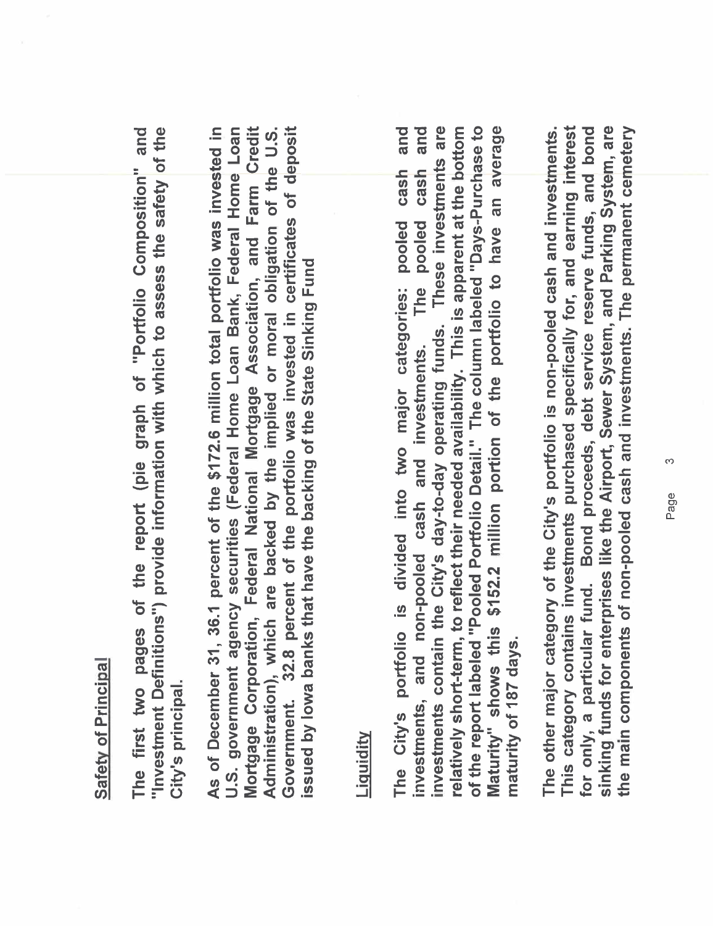### Safety of Principal Safety of Principal

"Investment Definitions") provide information with which to assess the safety of the The first two pages of the report (pie graph of "Portfolio Composition" and The first two pages of the report (pie graph of "Portfolio Composition" and "Investment Definitions") provide information with which to assess the safety of the City's principal. City's principaL.

As of December 31, 36.1 percent of the \$172.6 million total portfolio was invested in U.S. government agency securities (Federal Home Loan Bank, Federal Home Loan Mortgage Corporation, Federal National Mortgage Association, and Farm Credit Government. 32.8 percent of the portfolio was invested in certificates of deposit Administration), which are backed by the implied or moral obligation of the U.S. Mortgage Corporation, Federal National Mortgage Association, and Farm Credit Government. 32.8 percent of the portfolio was invested in certificates of deposit As of December 31, 36.1 percent of the \$172.6 millon total portfolio was invested in U.S. government agency securities (Federal Home Loan Bank, Federal Home Loan Administration), which are backed by the implied or moral obligation of the U.S. issued by lowa banks that have the backing of the State Sinking Fund issued by Iowa banks that have the backing of the State Sinking Fund

## **Liquidity**

and and investments contain the City's day-to-day operating funds. These investments are relatively short-term, to reflect their needed availability. This is apparent at the bottom of the report labeled "Pooled Portfolio Detail." The column labeled "Days-Purchase to Maturity" shows this \$152.2 million portion of the portfolio to have an average of the report labeled "Pooled Portfolio DetaiL" The column labeled "Days-Purchase to Maturity" shows this \$152.2 millon portion of the portfolio to have an average The City's portfolio is divided into two major categories: pooled cash and investments, and non-pooled cash and investments. The pooled cash and investments contain the City's day-to-day operating funds. These investments are relatively short-term, to reflect their needed availability. This is apparent at the bottom cash cash The pooled The City's portfolio is divided into two major categories: pooled investments, and non-pooled cash and investments. maturity of 187 days. maturity of 187 days.

sinking funds for enterprises like the Airport, Sewer System, and Parking System, are This category contains investments purchased specifically for, and earning interest for only, a particular fund. Bond proceeds, debt service reserve funds, and bond the main components of non-pooled cash and investments. The permanent cemetery The other major category of the City's portfolio is non-pooled cash and investments. This category contains investments purchased specifically for, and earning interest for only, a particular fund. Bond proceeds, debt service reserve funds, and bond sinking funds for enterprises like the Airport, Sewer System, and Parking System, are the main components of non-pooled cash and investments. The permanent cemetery The other major category of the City's portfolio is non-pooled cash and investments.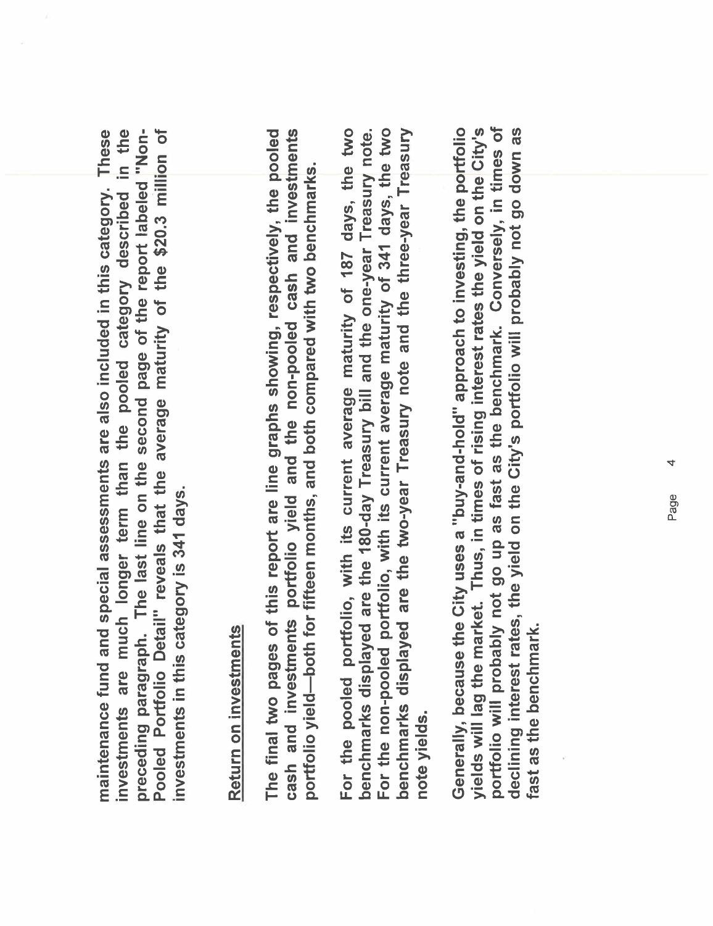in the preceding paragraph. The last line on the second page of the report labeled "Non-Pooled Portfolio Detail" reveals that the average maturity of the \$20.3 million of **These** preceding paragraph. The last line on the second page of the report labeled "Non- Pooled Portolio Detail" reveals that the average maturity of the \$20.3 milion of maintenance fund and special assessments are also included in this category. These investments are much longer term than the pooled category described in the maintenance fund and special assessments are also included in this category. investments are much longer term than the pooled category described investments in this category is 341 days. investments in this category is 341 days.

# Return on investments Return on investments

cash and investments portfolio yield and the non-pooled cash and investments The final two pages of this report are line graphs showing, respectively, the pooled The final two pages of this report are line graphs showing, respectively, the pooled cash and investments portolio yield and the non-pooled cash and investments portfolio yield—both for fifteen months, and both compared with two benchmarks. portfolio yield-both for fifteen months, and both compared with two benchmarks.

For the pooled portfolio, with its current average maturity of 187 days, the two benchmarks displayed are the 180-day Treasury bill and the one-year Treasury note. For the non-pooled portfolio, with its current average maturity of 341 days, the two benchmarks displayed are the two-year Treasury note and the three-year Treasury benchmarks displayed are the two-year Treasury note and the three-year Treasury For the pooled portfolio, with its current average maturity of 187 days, the two benchmarks displayed are the 180-day Treasury bill and the one-year Treasury note. For the non-pooled portfolio, with its current average maturity of 341 days, the two note yields.

portfolio will probably not go up as fast as the benchmark. Conversely, in times of Generally, because the City uses a "buy-and-hold" approach to investing, the portfolio yields will lag the market. Thus, in times of rising interest rates the yield on the City's declining interest rates, the yield on the City's portfolio will probably not go down as portfolio will probably not go up as fast as the benchmark. Conversely, in times of Generally, because the City uses a "buy-and-hold" approach to investing, the portfolio yields wil lag the market. Thus, in times of rising interest rates the yield on the City's declining interest rates, the yield on the City's portfolio wil probably not go down as ast as the benchmark. fast as the benchmark.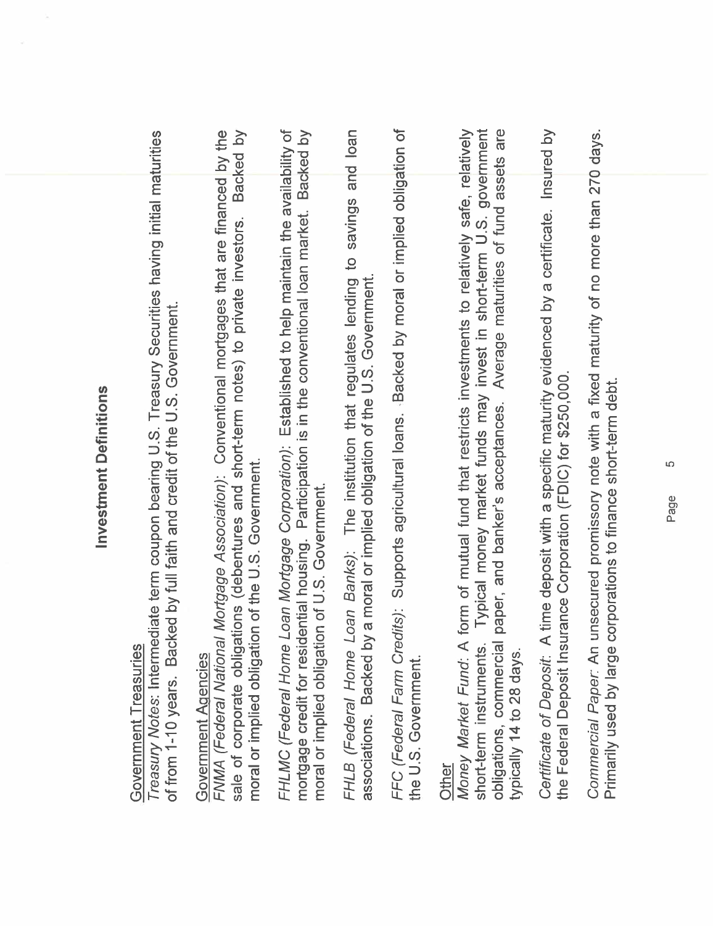| E      |
|--------|
| ١<br>٠ |
|        |
| Į<br>ı |
|        |
|        |
|        |
|        |
|        |
|        |
|        |
|        |
|        |
|        |
|        |
|        |
|        |
|        |

# Government Treasuries Government Treasuries

Treasury Notes: Intermediate term coupon bearing U.S. Treasury Securities having initial maturities Treasury Notes: Intermediate term coupon bearing U.S. Treasury Securities having initial maturities of from 1-10 years. Backed by full faith and credit of the U.S. Government. of from 1-10 years. Backed by full faith and credit of the U.S. Government.

# **Government Agencies** Government Agencies

FNMA (Federal National Mortgage Association): Conventional mortgages that are financed by the sale of corporate obligations (debentures and short-term notes) to private investors. Backed by FNMA (Federal National Mortgage Association): Conventional mortgages that are financed by the sale of corporate obligations (debentures and short-term notes) to private investors. Backed by moral or implied obligation of the U.S. Government. moral or implied obligation of the U.S. Government.

FHLMC (Federal Home Loan Mortgage Corporation): Established to help maintain the availability of mortgage credit for residential housing. Participation is in the conventional loan market. Backed by FHLMC (Federal Home Loan Mortgage Corporation): Established to help maintain the availability of mortgage credit for residential housing. Participation is in the conventional loan market. Backed by moral or implied obligation of U.S. Government. moral or implied obligation of U.S. Government. FHLB (Federal Home Loan Banks): The institution that regulates lending to savings and loan FHLB (Federal Home Loan Banks): The institution that regulates lending to savings and loan associations. Backed by a moral or implied obligation of the U.S. Government. associations. Backed by a moral or implied obligation of the U.S. Government. FFC (Federal Farm Credits): Supports agricultural loans. Backed by moral or implied obligation of FFC (Federal Farm Credits): Supports agricultural loans. .Backed by moral or implied obligation of the U.S. Government. the U.S. Government.

obligations, commercial paper, and banker's acceptances. Average maturities of fund assets are <u>Other</u><br>Money Market Fund: A form of mutual fund that restricts investments to relatively safe, relatively short-term instruments. Typical money market funds may invest in short-term U.S. government Money Market Fund: A form of mutual fund that restricts investments to relatively safe, relatively short-term instruments. Typical money market funds may invest in short-term U.S. government obligations, commercial paper, and banker's acceptances. Average maturities of fund assets are typically 14 to 28 days. typically 14 to 28 days.

Certificate of Deposit: A time deposit with a specific maturity evidenced by a certificate. Insured by Certificate of Deposit: A time deposit with a specific maturity evidenced by a certificate. Insured by the Federal Deposit Insurance Corporation (FDIC) for \$250,000. the Federal Deposit Insurance Corporation (FDIC) for \$250,000.

Commercial Paper: An unsecured promissory note with a fixed maturity of no more than 270 days. Commercial Paper: An unsecured promissory note with a fixed maturity of no more than 270 days. Primarily used by large corporations to finance short-term debt. Primarily used by large corporations to finance short-term debt.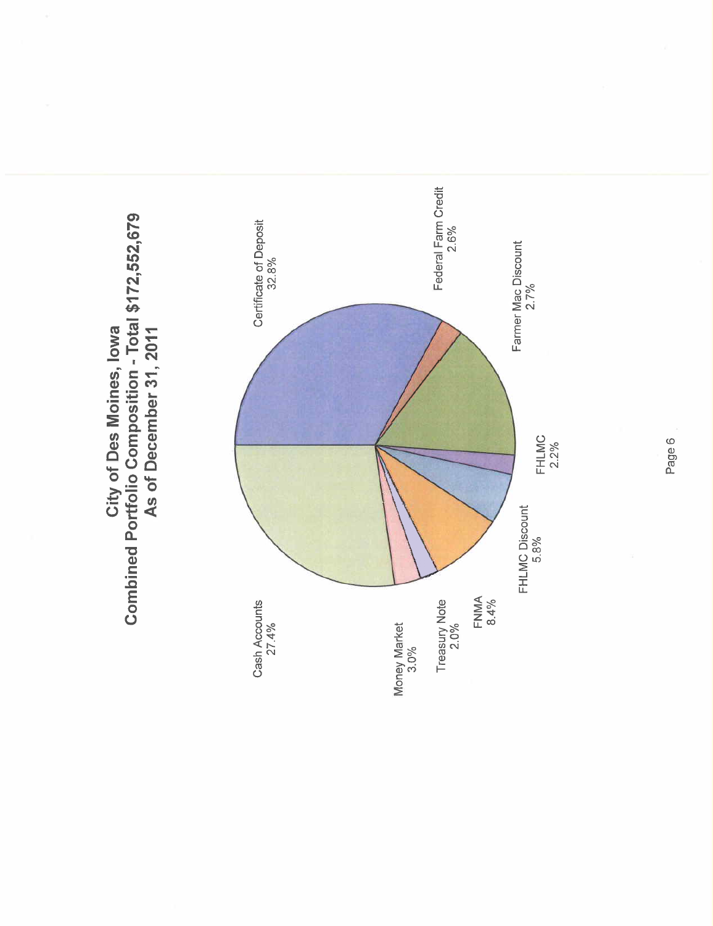

City of Des Moines, Iowa City of Des Moines, Iowa

Page 6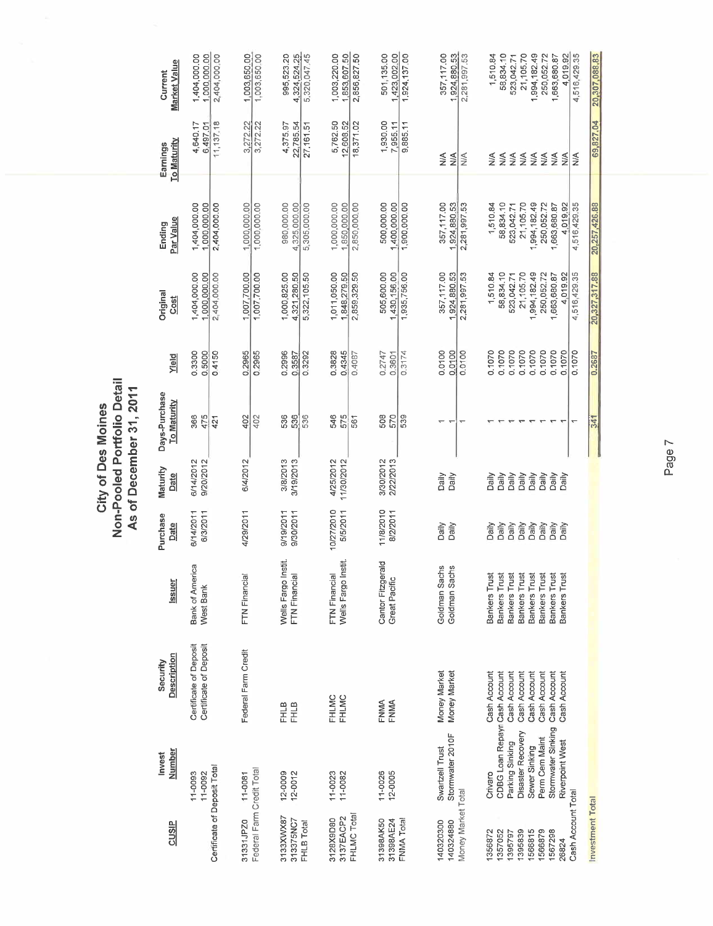|                                              |                                                  |                                                  |                                              |                        |                         | Non-Pooled Portfolio Detail<br>As of December 31, 2011 |                            |                                              |                                              |                                    |                                              |
|----------------------------------------------|--------------------------------------------------|--------------------------------------------------|----------------------------------------------|------------------------|-------------------------|--------------------------------------------------------|----------------------------|----------------------------------------------|----------------------------------------------|------------------------------------|----------------------------------------------|
| CUSIP                                        | <b>Number</b><br><b>Invest</b>                   | Description<br>Security                          | Issuer                                       | Purchase<br>Date       | Maturity<br>Date        | Days-Purchase<br><b>To Maturity</b>                    | Yield                      | Original<br>Cost                             | Par Value<br>Ending                          | <b>To Maturity</b><br>Earnings     | Market Value<br>Current                      |
| Certificate of Deposit Total                 | 11-0093<br>11-0092                               | Certificate of Deposit<br>Certificate of Deposit | Bank of America<br>West Bank                 | 6/3/2011<br>6/14/2011  | 6/14/2012<br>9/20/2012  | 366<br>475<br>421                                      | 0.3300<br>0.5000<br>04150  | 1,404,000.00<br>1,000,000.00<br>2,404,000.00 | 1,404,000.00<br>1,000,000.00<br>2,404,000.00 | 11,137,18<br>4,640.17<br>6,497.01  | 2,404,000.00<br>1,404,000.00<br>1,000,000.00 |
| Federal Farm Credit Total<br>31331JPZ0       | 11-0081                                          | Federal Farm Credit                              | FTN Financial                                | 4/29/2011              | 6/4/2012                | 402<br>402                                             | 0.2965<br>0.2965           | 1,007,700.00<br>1,007,700.00                 | 1,000,000.00<br>1,000,000.00                 | 3,272.22<br>3,272.22               | 1,003,650.00<br>1,003,650.00                 |
| 3133XWX87<br>313375NC7<br>FHLB Total         | 12-0009<br>12-0012                               | <b>FHLB</b><br><b>FHLB</b>                       | stit.<br>Wells Fargo In<br>FTN Financial     | 9/19/2011<br>9/30/2011 | 3/8/2013<br>3/19/2013   | 536<br>536<br>536                                      | 0.2996<br>0.3292<br>0.3587 | 1,000,825.00<br>5,322,105.50<br>4,321,280.50 | 980,000.00<br>5,305,000.00<br>4,325,000.00   | 4,375.97<br>22,785.54<br>27,161.51 | 4,324,524.25<br>5,320,047,45<br>995,523.20   |
| FHLMC Total<br>3137EACP2<br>3128X9D80        | $11 - 0023$<br>11-0082                           | FHLMC<br>FHLMC                                   | stit<br>FTN Financial<br>Wells Fargo In      | 10/27/2010<br>5/5/2011 | 4/25/2012<br>11/30/2012 | 546<br>575<br>561                                      | 0.3828<br>0.4345<br>0.4087 | 1,011,050.00<br>2,859,329.50<br>1,848,279.50 | 1,000,000.00<br>,850,000.00<br>2,850,000.00  | 5,762.50<br>12,608.52<br>18,371.02 | 1,003,220.00<br>1,853,607.50<br>2,856,827.50 |
| 31398AK50<br>31398AE24<br>FNMA Total         | 11-0026<br>12-0005                               | FNMA<br>FNMA                                     | Cantor Fitzgerald<br>Great Pacific           | 11/8/2010<br>8/2/2011  | 3/30/2012<br>2/22/2013  | 508<br>539<br>570                                      | 0.2747<br>0.3174<br>0.3601 | 505,600.00<br>1,430,156.00<br>1,935,756.00   | 500,000.00<br>400,000.00<br>1,900,000.00     | 1,930.00<br>7,955.11<br>9,885.11   | 501,135.00<br>1,423,002.00<br>1,924,137.00   |
| Money Market Total<br>140320300<br>140324880 | Stormwater 2010F<br>Swartzell Trust              | Money Market<br>Money Market                     | Goldman Sachs<br>Goldman Sachs               | Daily<br>Daily         | Daily<br>Daily          | $\overline{\phantom{0}}$                               | 0.0100<br>0.0100<br>0.0100 | 357,117.00<br>1,924,880.53<br>2,281,997.53   | 357,117.00<br>1.924,880.53<br>2,281,997.53   | ≸<br>$\frac{1}{2}$<br>NA           | 357,117.00<br>1,924,880.53<br>2,281,997.53   |
| 1356872                                      | Crivaro                                          | Cash Account                                     | <b>Bankers Trust</b>                         | Daily                  | <b>Daily</b>            |                                                        | 0.1070                     | 1,510.84                                     | 1,510.84                                     | $\frac{4}{2}$                      | 1,510.84                                     |
| 1357052<br>1395797                           | CDBG Loan Repayr Cash Account<br>Parking Sinking | Cash Account                                     | <b>Bankers Trust</b><br>Bankers Trust        | Daily<br>Daily         | Daily<br>Daily          |                                                        | 0.1070<br>0.1070           | 58,834.10<br>523,042.71                      | 58,834.10<br>523,042.71                      | $\frac{1}{2}$<br>$\leq$            | 58,834.10<br>523,042.71                      |
| 1566815<br>1395839                           | Disaster Recovery<br>Sewer Sinking               | Cash Account<br>Cash Account                     | <b>Bankers Trust</b><br><b>Bankers Trust</b> | Daily<br>Daily         | Daily<br>Daily          |                                                        | 0.1070<br>0.1070           | 21,105.70<br>1,994,182.49                    | 21,105.70<br>1,994,182.49                    | $\frac{1}{2}$<br>NIA               | 21,105.70<br>1,994,182.49                    |
| 1566879<br>1567298                           | Stormwater Sinking<br>Perm Cem Maint             | Cash Account<br>Cash Account                     | Bankers Trust<br><b>Bankers Trust</b>        | Daily<br>Daily         | Daily<br>Daily          |                                                        | 0.1070<br>0.1070           | 250,052.72<br>,663,680.87                    | 250,052.72<br>1,663,680.87                   | $\frac{1}{2}$<br>$\leq$            | 250,052.72<br>1,663,680.87                   |
| 26824                                        | Riverpoint West                                  | Cash Account                                     | <b>Bankers Trust</b>                         | Daily                  | $\sum_{i=1}^{n}$        |                                                        | 0.1070                     | 4,019.92                                     | 4,019.92                                     | NA                                 | 4,019.92                                     |
| Cash Account Total                           |                                                  |                                                  |                                              |                        |                         | ۳                                                      | 0.1070                     | 4,516,429.35                                 | 4,516,429.35                                 | $\frac{1}{2}$                      | 4,516,429.35                                 |
| Investment Total                             |                                                  |                                                  |                                              |                        |                         | 341                                                    | 0.2687                     | 20,327,317.88                                | 20,257,426.88                                | 69,827.04                          | 20,307,088.83                                |

City of Des Moines

Page 7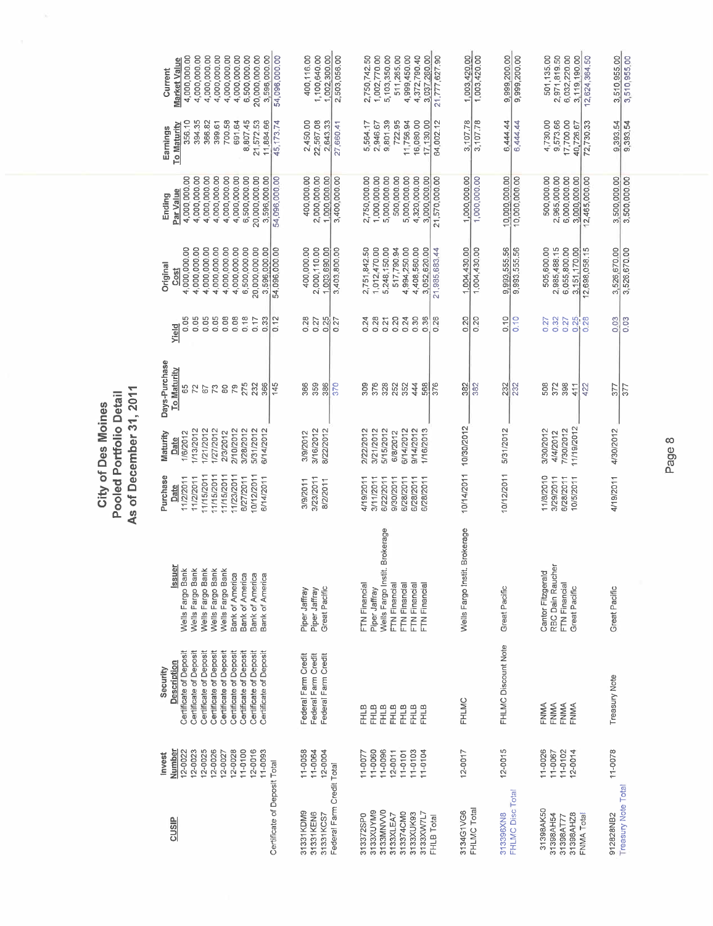|                                                                                                       | Invest                                                                                                 | Security                                                                                                                                                                                                                           |                                                                                                                                                                            | Purchase                                                                                                          | Maturity                                                                                                   | Days-Purchase                                                                              |                                                                       |                                                                                                                                                   |                                                                                                                                                      |                                                                                                              |                                                                                                                                                          |
|-------------------------------------------------------------------------------------------------------|--------------------------------------------------------------------------------------------------------|------------------------------------------------------------------------------------------------------------------------------------------------------------------------------------------------------------------------------------|----------------------------------------------------------------------------------------------------------------------------------------------------------------------------|-------------------------------------------------------------------------------------------------------------------|------------------------------------------------------------------------------------------------------------|--------------------------------------------------------------------------------------------|-----------------------------------------------------------------------|---------------------------------------------------------------------------------------------------------------------------------------------------|------------------------------------------------------------------------------------------------------------------------------------------------------|--------------------------------------------------------------------------------------------------------------|----------------------------------------------------------------------------------------------------------------------------------------------------------|
| <b>CUSIP</b>                                                                                          | Number<br>12-0025<br>12-0026<br>12-0028<br>$11 - 0100$<br>$12 - 0016$<br>12-0022<br>12-0023<br>12-0027 | Certificate of Deposit<br>Certificate of Deposit<br>Certificate of Deposit<br>Certificate of Deposit<br>Certificate of Deposit<br>Certificate of Deposit<br>Certificate of Deposit<br>Certificate of Deposit<br><b>Description</b> | <b>Issuer</b><br>Wells Fargo Bank<br>Wells Fargo Bank<br>Wells Fargo Bank<br>Wells Fargo Bank<br>Wells Fargo Bank<br>Bank of America<br>Bank of America<br>Bank of America | 11/15/2011<br>11/15/2011<br>11/15/2011<br>11/23/2011<br>10/12/2011<br>6/27/2011<br>11/2/2011<br>11/2/2011<br>Date | 1/21/2012<br>1/27/2012<br>2/10/2012<br>3/28/2012<br>5/31/2012<br>1/13/2012<br>2/3/2012<br>1/6/2012<br>Date | To_Maturity<br>275<br>232<br>79<br>73<br>$^{\circ}_{\infty}$<br>65<br>$\overline{r}$<br>67 | 0.05<br>0.05<br>0.05<br>0.08<br>0.05<br>0.08<br>0.18<br>0.17<br>Yield | 4,000,000.00<br>4,000,000.00<br>4,000,000.00<br>4,000,000.00<br>4,000,000.00<br>4,000,000.00<br>6,500,000.00<br>20,000,000.00<br>Original<br>Cost | 4,000,000.00<br>4,000,000.00<br>4,000,000.00<br>4,000,000.00<br>4,000,000.00<br>6,500,000.00<br>20,000,000.00<br>4,000,000.00<br>Par Value<br>Ending | 700.58<br>8,807.45<br>356.10<br>394.35<br>366.82<br>691.64<br>21,572.53<br>399.61<br>To Maturity<br>Earnings | 6,500,000.00<br>4,000,000.00<br>4,000,000.00<br>4,000,000.00<br>4,000,000.00<br>4,000,000.00<br>20,000,000.00<br>4,000,000.00<br>Market Value<br>Current |
| Certificate of Deposit Total                                                                          | 11-0093                                                                                                | Certificate of Deposit                                                                                                                                                                                                             | Bank of America                                                                                                                                                            | 6/14/2011                                                                                                         | 6/14/2012                                                                                                  | 366<br>145                                                                                 | 0.12<br>0.33                                                          | 3.596.000.00<br>54,096,000.00                                                                                                                     | 54,096,000.00<br>3,596,000.00                                                                                                                        | 11,884.66<br>45, 173.74                                                                                      | 3,596,000.00<br>54,096,000.00                                                                                                                            |
| Federal Farm Credit Total<br>31331KDM9<br>31331KEN6<br>31331KCS7                                      | 11-0058<br>11-0064<br>12-0004                                                                          | Federal Farm Credit<br>Federal Farm Credit<br>Federal Farm Credit                                                                                                                                                                  | Great Pacific<br>Piper Jaffray<br>Piper Jaffray                                                                                                                            | 3/23/2011<br>3/9/2011<br>8/2/2011                                                                                 | 3/16/2012<br>8/22/2012<br>3/9/2012                                                                         | 359<br>366<br>370<br>386                                                                   | 0.28<br>0.25<br>0.27<br>0.27                                          | 2,000,110.00<br>400,000.00<br>1,003,690.00<br>3,403,800.00                                                                                        | 400,000.00<br>2,000,000.00<br>1,000,000.00<br>3,400,000.00                                                                                           | 2,450.00<br>22,567.08<br>2,643.33<br>27,660.41                                                               | 1,100,640.00<br>1.002,300.00<br>400,116.00<br>2,503,056.00                                                                                               |
| 8133XUYM9<br>3133MNVV0<br>313374CM0<br>3133XW7L7<br>3133XUK93<br>313372SP0<br>3133XLEA7<br>FHLB Total | 11-0060<br>11-0096<br>$11 - 0103$<br>$11 - 0104$<br>$12 - 0011$<br>11-0077<br>$11 - 0101$              | FHLB<br>FHLB<br><b>FHLB</b><br><b>FHLB</b><br><b>FHLB</b><br><b>FHLB</b><br><b>FHLB</b>                                                                                                                                            | Brokerage<br>Wells Fargo Instit<br><b>FTN Financial</b><br>FTN Financial<br>FTN Financial<br>FTN Financial<br>FTN Financial<br>Piper Jaffray                               | 6/28/2011<br>6/28/2011<br>4/19/2011<br>3/11/2011<br>6/22/2011<br>9/30/2011<br>6/28/2011                           | 5/15/2012<br>6/14/2012<br>9/14/2012<br>1/16/2013<br>2/22/2012<br>3/21/2012<br>6/8/2012                     | 376<br>328<br>252<br>352<br>444<br>568<br>309<br>376                                       | 0.24<br>0.28<br>0.20<br>0.24<br>0.30<br>0.36<br>0.26<br>0.21          | 4,408,560.00<br>2,751,842.50<br>1,012,470.00<br>5,248,150.00<br>517,790.94<br>4,994,250.00<br>3,052,620.00<br>21,985,683,44                       | 5,000,000.00<br>2,750,000.00<br>1,000,000.00<br>500,000.00<br>5,000,000.00<br>4,320,000.00<br>3,000,000.00<br>21,570,000.00                          | 9,801.39<br>722.95<br>16,080.00<br>11,756.94<br>17,130.00<br>5,564.17<br>2,946.67<br>64,002.12               | 4,372,790.40<br>1,002,770.00<br>5,103,350.00<br>511,265.00<br>4,999,450.00<br>3,037,260.00<br>21,777,627.90<br>2,750,742.50                              |
| FHLMC Disc Total<br>FHLMC Total<br>3134G1VG6<br>313396XN8                                             | $12 - 0015$<br>$12 - 0017$                                                                             | FHLMC Discount Note<br>FHLMC                                                                                                                                                                                                       | Brokerage<br>Wells Fargo Instit.<br>Great Pacific                                                                                                                          | 10/12/2011                                                                                                        | 10/14/2011 10/30/2012<br>5/31/2012                                                                         | 382<br>382<br>232<br>232                                                                   | 0.20<br>0.10<br>0.20<br>0.10                                          | 1.004.430.00<br>1,004,430.00<br>9,993,555.56<br>9,993,555.56                                                                                      | 1,000,000.00<br>1,000,000.00<br>10,000,000.00<br>10,000,000.00                                                                                       | 3,107.78<br>3,107.78<br>6,444.44<br>6,444.44                                                                 | 9,999,200.00<br>1.003,420.00<br>1,003,420.00<br>9,999,200.00                                                                                             |
| 31398AK50<br>31398AH54<br>31398AHZ8<br>FNMA Total<br>31398AT77                                        | 11-0026<br>11-0102<br>11-0067<br>12-0014                                                               | FNMA<br>FNMA<br>FNMA<br>FNMA                                                                                                                                                                                                       | RBC Dain Raucher<br>Cantor Fitzgerald<br>FTN Financial<br>Great Pacific                                                                                                    | 11/8/2010<br>3/29/2011<br>6/28/2011<br>10/5/2011                                                                  | 11/19/2012<br>7/30/2012<br>3/30/2012<br>4/4/2012                                                           | 398<br>508<br>372<br>422<br>411                                                            | 0.32<br>0.27<br>0.27<br>0.25<br>0.28                                  | 505,600.00<br>2,985,488.15<br>6,055,800.00<br>12,698,058.15<br>3,151,170.00                                                                       | 500,000.00<br>6,000,000.00<br>2,965,000.00<br>3,000,000.00<br>12,465,000.00                                                                          | 4,730.00<br>9,573.66<br>17,700.00<br>72,730.33<br>40,726.67                                                  | 6,032,220.00<br>501,135.00<br>2,971,819.50<br>3,119,190.00<br>12,624,364.50                                                                              |
| <b>Treasury Note Total</b><br>912828NB2                                                               | 11-0078                                                                                                | Treasury Note                                                                                                                                                                                                                      | Great Pacific                                                                                                                                                              | 4/19/2011                                                                                                         | 4/30/2012                                                                                                  | 377<br>377                                                                                 | 0.03<br>0.03                                                          | 3,526,670.00<br>3,526,670.00                                                                                                                      | 3,500,000.00<br>3,500,000.00                                                                                                                         | 9.393.54<br>9,393.54                                                                                         | 3,510,955.00<br>3,510,955.00                                                                                                                             |

Page 8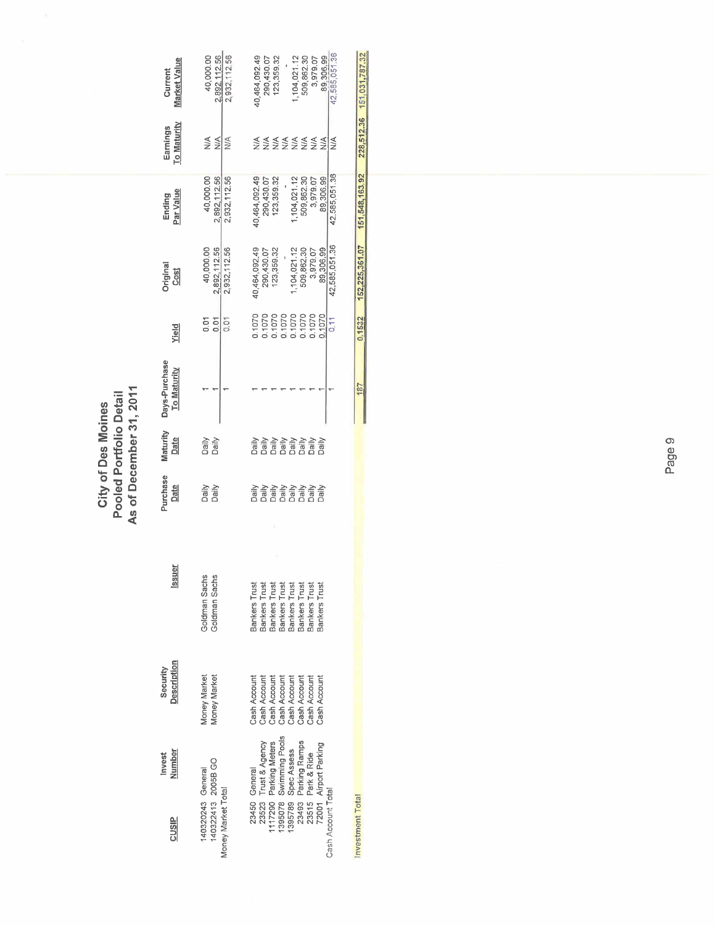|                                                                                                                                                                                                                         |                                                                                                                              |                                                                                                                                                           | As of December 31, 2011<br>Pooled Portfolio Detail |                                                                                                                                                                                                                                                                                                                                                                                                              |                                     |                                                                                      |                                                                                                                   |                                                                                                                    |                                      |                                                                                                                   |
|-------------------------------------------------------------------------------------------------------------------------------------------------------------------------------------------------------------------------|------------------------------------------------------------------------------------------------------------------------------|-----------------------------------------------------------------------------------------------------------------------------------------------------------|----------------------------------------------------|--------------------------------------------------------------------------------------------------------------------------------------------------------------------------------------------------------------------------------------------------------------------------------------------------------------------------------------------------------------------------------------------------------------|-------------------------------------|--------------------------------------------------------------------------------------|-------------------------------------------------------------------------------------------------------------------|--------------------------------------------------------------------------------------------------------------------|--------------------------------------|-------------------------------------------------------------------------------------------------------------------|
| <b>Number</b><br>Invest<br><b>CUSIP</b>                                                                                                                                                                                 | Description<br>Security                                                                                                      | <b>Issuer</b>                                                                                                                                             | Purchase<br>Date                                   | Maturity<br>Date                                                                                                                                                                                                                                                                                                                                                                                             | Days-Purchase<br><b>To Maturity</b> | Yield                                                                                | Original<br>Cost                                                                                                  | Par Value<br>Ending                                                                                                | To Maturity<br>Earnings              | <b>Market Value</b><br>Current                                                                                    |
| 140322413 2005B GO<br>140320243 General<br>Money Market Total                                                                                                                                                           | Money Market<br>Money Market                                                                                                 | Goldman Sachs<br>Goldman Sachs                                                                                                                            | Daily<br>Daily                                     | Daily<br>Daily                                                                                                                                                                                                                                                                                                                                                                                               |                                     | 0.01<br>δ<br>ο<br>5<br>D.D                                                           | 2,892,112.56<br>2,932,112.56<br>40,000.00                                                                         | 40,000.00<br>2,892,112.56<br>2,932,112.56                                                                          | $\frac{1}{2}$<br>N/A<br>MA           | 40,000.00<br>2,892,112.56<br>2,932,112,56                                                                         |
| 23523 Trust & Agency<br>1117290 Parking Meters<br>139578 Sper America Pools<br>139578 Sper America Pools<br>12493 Parking Ramps<br>72001 Airport Parking<br>Park & Ride<br>23450 General<br>Cash Account Total<br>23515 | Cash Account<br>Cash Account<br>Cash Account<br>Cash Account<br>Cash Account<br>Cash Account<br>Cash Account<br>Cash Account | <b>Bankers Trust</b><br>Bankers Trust<br>Bankers Trust<br>Bankers Trust<br><b>Bankers Trust</b><br><b>Bankers Trust</b><br>Bankers Trust<br>Bankers Trust | Daily<br>Daily                                     | $\begin{array}{l} \displaystyle \frac{\partial \phi}{\partial t} = \frac{\partial \phi}{\partial t} \frac{\partial \phi}{\partial t} = \frac{\partial \phi}{\partial t} \frac{\partial \phi}{\partial t} = 0 \\ \displaystyle \frac{\partial \phi}{\partial t} = 0 \\ \displaystyle \frac{\partial \phi}{\partial t} = 0 \\ \displaystyle \frac{\partial \phi}{\partial t} = 0 \end{array}$<br>$\frac{1}{2}$ |                                     | 0.1070<br>0.1070<br>0.1070<br>0.1070<br>0.1070<br>0.1070<br>0.1070<br>0.1070<br>0.11 | 42,585,051.36<br>40,464,092.49<br>89,306.99<br>123,359.32<br>1,104,021.12<br>509,862.30<br>3,979.07<br>290,430.07 | 42,585,051.36<br>89,306.99<br>40,464,092.49<br>1,104,021.12<br>509,862.30<br>3,979.07<br>290,430.07<br>123, 359.32 | <b>SZŽŽŽŽŽ</b><br>$\frac{4}{2}$<br>₹ | 42,585,051.36<br>40,464,092.49<br>89,306.99<br>123,359.32<br>1,104,021.12<br>509,862.30<br>3,979.07<br>290,430.07 |
| Investment Total                                                                                                                                                                                                        |                                                                                                                              |                                                                                                                                                           |                                                    |                                                                                                                                                                                                                                                                                                                                                                                                              | <b>187</b>                          | 0.1532                                                                               | 152,225,361.07                                                                                                    | 151,548,163.92                                                                                                     |                                      | 228,512.36 151,031.787.32                                                                                         |

City of Des Moines